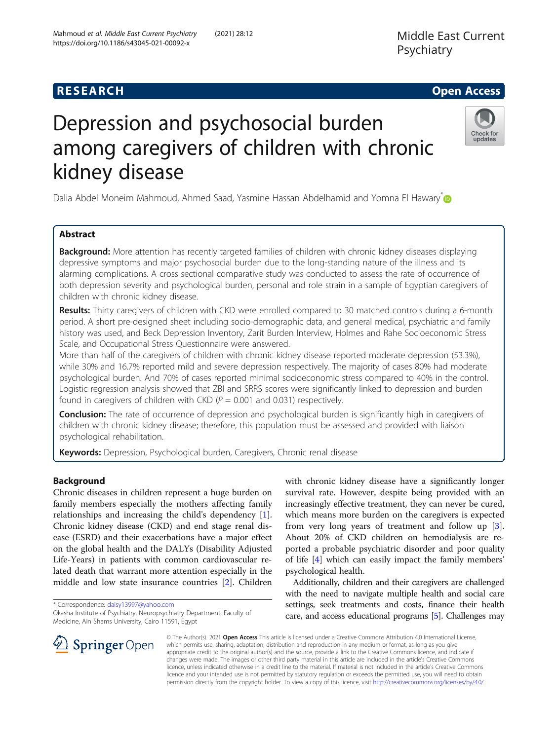# Depression and psychosocial burden among caregivers of children with chronic kidney disease

Dalia Abdel Moneim Mahmoud, Ahmed Saad, Yasmine Hassan Abdelhamid and Yomna El Hawary<sup>[\\*](http://orcid.org/0000-0003-1837-2200)</sup>

## Abstract

Background: More attention has recently targeted families of children with chronic kidney diseases displaying depressive symptoms and major psychosocial burden due to the long-standing nature of the illness and its alarming complications. A cross sectional comparative study was conducted to assess the rate of occurrence of both depression severity and psychological burden, personal and role strain in a sample of Egyptian caregivers of children with chronic kidney disease.

Results: Thirty caregivers of children with CKD were enrolled compared to 30 matched controls during a 6-month period. A short pre-designed sheet including socio-demographic data, and general medical, psychiatric and family history was used, and Beck Depression Inventory, Zarit Burden Interview, Holmes and Rahe Socioeconomic Stress Scale, and Occupational Stress Questionnaire were answered.

More than half of the caregivers of children with chronic kidney disease reported moderate depression (53.3%), while 30% and 16.7% reported mild and severe depression respectively. The majority of cases 80% had moderate psychological burden. And 70% of cases reported minimal socioeconomic stress compared to 40% in the control. Logistic regression analysis showed that ZBI and SRRS scores were significantly linked to depression and burden found in caregivers of children with CKD ( $P = 0.001$  and 0.031) respectively.

**Conclusion:** The rate of occurrence of depression and psychological burden is significantly high in caregivers of children with chronic kidney disease; therefore, this population must be assessed and provided with liaison psychological rehabilitation.

Keywords: Depression, Psychological burden, Caregivers, Chronic renal disease

## Background

Chronic diseases in children represent a huge burden on family members especially the mothers affecting family relationships and increasing the child's dependency [\[1](#page-7-0)]. Chronic kidney disease (CKD) and end stage renal disease (ESRD) and their exacerbations have a major effect on the global health and the DALYs (Disability Adjusted Life-Years) in patients with common cardiovascular related death that warrant more attention especially in the middle and low state insurance countries [\[2](#page-7-0)]. Children

\* Correspondence: [daisy13997@yahoo.com](mailto:daisy13997@yahoo.com)

Okasha Institute of Psychiatry, Neuropsychiatry Department, Faculty of Medicine, Ain Shams University, Cairo 11591, Egypt

with chronic kidney disease have a significantly longer survival rate. However, despite being provided with an increasingly effective treatment, they can never be cured, which means more burden on the caregivers is expected from very long years of treatment and follow up [\[3](#page-7-0)]. About 20% of CKD children on hemodialysis are reported a probable psychiatric disorder and poor quality of life [\[4](#page-7-0)] which can easily impact the family members' psychological health.

Additionally, children and their caregivers are challenged with the need to navigate multiple health and social care settings, seek treatments and costs, finance their health care, and access educational programs [\[5\]](#page-7-0). Challenges may

© The Author(s). 2021 Open Access This article is licensed under a Creative Commons Attribution 4.0 International License, which permits use, sharing, adaptation, distribution and reproduction in any medium or format, as long as you give appropriate credit to the original author(s) and the source, provide a link to the Creative Commons licence, and indicate if changes were made. The images or other third party material in this article are included in the article's Creative Commons licence, unless indicated otherwise in a credit line to the material. If material is not included in the article's Creative Commons licence and your intended use is not permitted by statutory regulation or exceeds the permitted use, you will need to obtain permission directly from the copyright holder. To view a copy of this licence, visit <http://creativecommons.org/licenses/by/4.0/>.



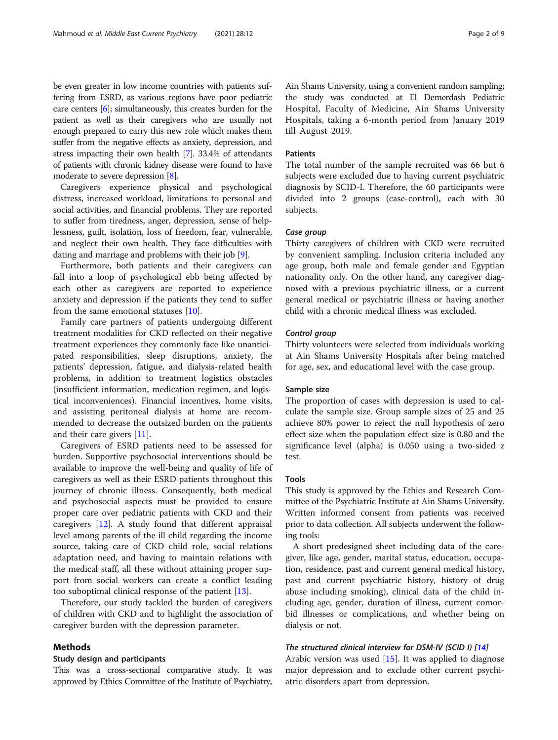be even greater in low income countries with patients suffering from ESRD, as various regions have poor pediatric care centers [[6\]](#page-7-0); simultaneously, this creates burden for the patient as well as their caregivers who are usually not enough prepared to carry this new role which makes them suffer from the negative effects as anxiety, depression, and stress impacting their own health [\[7\]](#page-7-0). 33.4% of attendants of patients with chronic kidney disease were found to have moderate to severe depression [\[8\]](#page-7-0).

Caregivers experience physical and psychological distress, increased workload, limitations to personal and social activities, and financial problems. They are reported to suffer from tiredness, anger, depression, sense of helplessness, guilt, isolation, loss of freedom, fear, vulnerable, and neglect their own health. They face difficulties with dating and marriage and problems with their job [[9](#page-7-0)].

Furthermore, both patients and their caregivers can fall into a loop of psychological ebb being affected by each other as caregivers are reported to experience anxiety and depression if the patients they tend to suffer from the same emotional statuses [[10\]](#page-7-0).

Family care partners of patients undergoing different treatment modalities for CKD reflected on their negative treatment experiences they commonly face like unanticipated responsibilities, sleep disruptions, anxiety, the patients' depression, fatigue, and dialysis-related health problems, in addition to treatment logistics obstacles (insufficient information, medication regimen, and logistical inconveniences). Financial incentives, home visits, and assisting peritoneal dialysis at home are recommended to decrease the outsized burden on the patients and their care givers [\[11](#page-7-0)].

Caregivers of ESRD patients need to be assessed for burden. Supportive psychosocial interventions should be available to improve the well-being and quality of life of caregivers as well as their ESRD patients throughout this journey of chronic illness. Consequently, both medical and psychosocial aspects must be provided to ensure proper care over pediatric patients with CKD and their caregivers [\[12](#page-7-0)]. A study found that different appraisal level among parents of the ill child regarding the income source, taking care of CKD child role, social relations adaptation need, and having to maintain relations with the medical staff, all these without attaining proper support from social workers can create a conflict leading too suboptimal clinical response of the patient [\[13\]](#page-7-0).

Therefore, our study tackled the burden of caregivers of children with CKD and to highlight the association of caregiver burden with the depression parameter.

#### Methods

#### Study design and participants

This was a cross-sectional comparative study. It was approved by Ethics Committee of the Institute of Psychiatry, Ain Shams University, using a convenient random sampling; the study was conducted at El Demerdash Pediatric Hospital, Faculty of Medicine, Ain Shams University Hospitals, taking a 6-month period from January 2019 till August 2019.

## Patients

The total number of the sample recruited was 66 but 6 subjects were excluded due to having current psychiatric diagnosis by SCID-I. Therefore, the 60 participants were divided into 2 groups (case-control), each with 30 subjects.

## Case group

Thirty caregivers of children with CKD were recruited by convenient sampling. Inclusion criteria included any age group, both male and female gender and Egyptian nationality only. On the other hand, any caregiver diagnosed with a previous psychiatric illness, or a current general medical or psychiatric illness or having another child with a chronic medical illness was excluded.

## Control group

Thirty volunteers were selected from individuals working at Ain Shams University Hospitals after being matched for age, sex, and educational level with the case group.

## Sample size

The proportion of cases with depression is used to calculate the sample size. Group sample sizes of 25 and 25 achieve 80% power to reject the null hypothesis of zero effect size when the population effect size is 0.80 and the significance level (alpha) is 0.050 using a two-sided z test.

## Tools

This study is approved by the Ethics and Research Committee of the Psychiatric Institute at Ain Shams University. Written informed consent from patients was received prior to data collection. All subjects underwent the following tools:

A short predesigned sheet including data of the caregiver, like age, gender, marital status, education, occupation, residence, past and current general medical history, past and current psychiatric history, history of drug abuse including smoking), clinical data of the child including age, gender, duration of illness, current comorbid illnesses or complications, and whether being on dialysis or not.

## The structured clinical interview for DSM-IV (SCID I) [\[14\]](#page-7-0)

Arabic version was used [[15\]](#page-7-0). It was applied to diagnose major depression and to exclude other current psychiatric disorders apart from depression.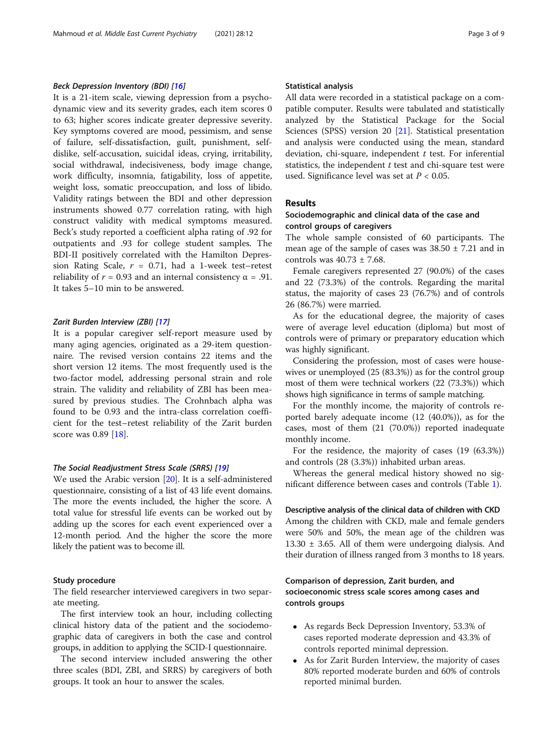## Beck Depression Inventory (BDI) [[16](#page-7-0)]

It is a 21-item scale, viewing depression from a psychodynamic view and its severity grades, each item scores 0 to 63; higher scores indicate greater depressive severity. Key symptoms covered are mood, pessimism, and sense of failure, self-dissatisfaction, guilt, punishment, selfdislike, self-accusation, suicidal ideas, crying, irritability, social withdrawal, indecisiveness, body image change, work difficulty, insomnia, fatigability, loss of appetite, weight loss, somatic preoccupation, and loss of libido. Validity ratings between the BDI and other depression instruments showed 0.77 correlation rating, with high construct validity with medical symptoms measured. Beck's study reported a coefficient alpha rating of .92 for outpatients and .93 for college student samples. The BDI-II positively correlated with the Hamilton Depression Rating Scale,  $r = 0.71$ , had a 1-week test–retest reliability of  $r = 0.93$  and an internal consistency  $\alpha = .91$ . It takes 5–10 min to be answered.

## Zarit Burden Interview (ZBI) [\[17](#page-7-0)]

It is a popular caregiver self-report measure used by many aging agencies, originated as a 29-item questionnaire. The revised version contains 22 items and the short version 12 items. The most frequently used is the two-factor model, addressing personal strain and role strain. The validity and reliability of ZBI has been measured by previous studies. The Crohnbach alpha was found to be 0.93 and the intra-class correlation coefficient for the test–retest reliability of the Zarit burden score was 0.89 [[18\]](#page-7-0).

#### The Social Readjustment Stress Scale (SRRS) [\[19\]](#page-7-0)

We used the Arabic version [\[20\]](#page-7-0). It is a self-administered questionnaire, consisting of a list of 43 life event domains. The more the events included, the higher the score. A total value for stressful life events can be worked out by adding up the scores for each event experienced over a 12-month period. And the higher the score the more likely the patient was to become ill.

## Study procedure

The field researcher interviewed caregivers in two separate meeting.

The first interview took an hour, including collecting clinical history data of the patient and the sociodemographic data of caregivers in both the case and control groups, in addition to applying the SCID-I questionnaire.

The second interview included answering the other three scales (BDI, ZBI, and SRRS) by caregivers of both groups. It took an hour to answer the scales.

### Statistical analysis

All data were recorded in a statistical package on a compatible computer. Results were tabulated and statistically analyzed by the Statistical Package for the Social Sciences (SPSS) version 20 [\[21](#page-7-0)]. Statistical presentation and analysis were conducted using the mean, standard deviation, chi-square, independent  $t$  test. For inferential statistics, the independent  $t$  test and chi-square test were used. Significance level was set at  $P < 0.05$ .

## Results

## Sociodemographic and clinical data of the case and control groups of caregivers

The whole sample consisted of 60 participants. The mean age of the sample of cases was  $38.50 \pm 7.21$  and in controls was  $40.73 \pm 7.68$ .

Female caregivers represented 27 (90.0%) of the cases and 22 (73.3%) of the controls. Regarding the marital status, the majority of cases 23 (76.7%) and of controls 26 (86.7%) were married.

As for the educational degree, the majority of cases were of average level education (diploma) but most of controls were of primary or preparatory education which was highly significant.

Considering the profession, most of cases were housewives or unemployed (25 (83.3%)) as for the control group most of them were technical workers (22 (73.3%)) which shows high significance in terms of sample matching.

For the monthly income, the majority of controls reported barely adequate income (12 (40.0%)), as for the cases, most of them (21 (70.0%)) reported inadequate monthly income.

For the residence, the majority of cases (19 (63.3%)) and controls (28 (3.3%)) inhabited urban areas.

Whereas the general medical history showed no significant difference between cases and controls (Table [1](#page-3-0)).

#### Descriptive analysis of the clinical data of children with CKD

Among the children with CKD, male and female genders were 50% and 50%, the mean age of the children was  $13.30 \pm 3.65$ . All of them were undergoing dialysis. And their duration of illness ranged from 3 months to 18 years.

## Comparison of depression, Zarit burden, and socioeconomic stress scale scores among cases and controls groups

- As regards Beck Depression Inventory, 53.3% of cases reported moderate depression and 43.3% of controls reported minimal depression.
- As for Zarit Burden Interview, the majority of cases 80% reported moderate burden and 60% of controls reported minimal burden.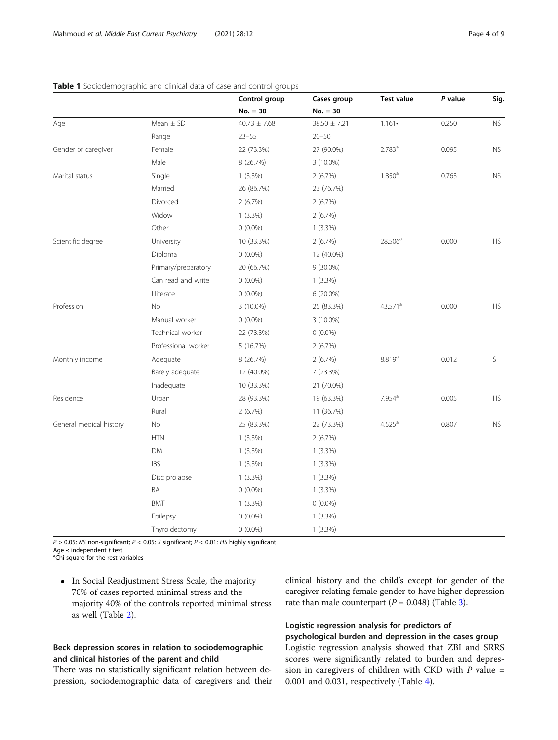|                         |                     | Control group    | Cases group      | <b>Test value</b>    | P value | Sig.      |
|-------------------------|---------------------|------------------|------------------|----------------------|---------|-----------|
|                         |                     | $No. = 30$       | $No. = 30$       |                      |         |           |
| Age                     | Mean $\pm$ SD       | $40.73 \pm 7.68$ | $38.50 \pm 7.21$ | $1.161 \cdot$        | 0.250   | <b>NS</b> |
|                         | Range               | $23 - 55$        | $20 - 50$        |                      |         |           |
| Gender of caregiver     | Female              | 22 (73.3%)       | 27 (90.0%)       | 2.783 <sup>a</sup>   | 0.095   | <b>NS</b> |
|                         | Male                | 8 (26.7%)        | $3(10.0\%)$      |                      |         |           |
| Marital status          | Single              | $1(3.3\%)$       | 2(6.7%)          | 1.850 <sup>a</sup>   | 0.763   | <b>NS</b> |
|                         | Married             | 26 (86.7%)       | 23 (76.7%)       |                      |         |           |
|                         | Divorced            | 2(6.7%)          | 2(6.7%)          |                      |         |           |
|                         | Widow               | $1(3.3\%)$       | 2(6.7%)          |                      |         |           |
|                         | Other               | $0(0.0\%)$       | $1(3.3\%)$       |                      |         |           |
| Scientific degree       | University          | 10 (33.3%)       | 2(6.7%)          | $28.506^a$           | 0.000   | HS        |
|                         | Diploma             | $0(0.0\%)$       | 12 (40.0%)       |                      |         |           |
|                         | Primary/preparatory | 20 (66.7%)       | $9(30.0\%)$      |                      |         |           |
|                         | Can read and write  | $0(0.0\%)$       | $1(3.3\%)$       |                      |         |           |
|                         | Illiterate          | $0(0.0\%)$       | 6 (20.0%)        |                      |         |           |
| Profession              | No                  | 3 (10.0%)        | 25 (83.3%)       | 43.571 <sup>a</sup>  | 0.000   | <b>HS</b> |
|                         | Manual worker       | $0(0.0\%)$       | 3 (10.0%)        |                      |         |           |
|                         | Technical worker    | 22 (73.3%)       | $0(0.0\%)$       |                      |         |           |
|                         | Professional worker | 5 (16.7%)        | 2(6.7%)          |                      |         |           |
| Monthly income          | Adequate            | 8 (26.7%)        | 2(6.7%)          | 8.819 <sup>a</sup>   | 0.012   | S         |
|                         | Barely adequate     | 12 (40.0%)       | 7(23.3%)         |                      |         |           |
|                         | Inadequate          | 10 (33.3%)       | 21 (70.0%)       |                      |         |           |
| Residence               | Urban               | 28 (93.3%)       | 19 (63.3%)       | $7.954$ <sup>a</sup> | 0.005   | <b>HS</b> |
|                         | Rural               | 2(6.7%)          | 11 (36.7%)       |                      |         |           |
| General medical history | No                  | 25 (83.3%)       | 22 (73.3%)       | 4.525 <sup>a</sup>   | 0.807   | <b>NS</b> |
|                         | <b>HTN</b>          | $1(3.3\%)$       | 2(6.7%)          |                      |         |           |
|                         | DM                  | $1(3.3\%)$       | $1(3.3\%)$       |                      |         |           |
|                         | <b>IBS</b>          | $1(3.3\%)$       | $1(3.3\%)$       |                      |         |           |
|                         | Disc prolapse       | $1(3.3\%)$       | $1(3.3\%)$       |                      |         |           |
|                         | ΒA                  | $0(0.0\%)$       | $1(3.3\%)$       |                      |         |           |
|                         | <b>BMT</b>          | $1(3.3\%)$       | $0(0.0\%)$       |                      |         |           |
|                         | Epilepsy            | $0(0.0\%)$       | $1(3.3\%)$       |                      |         |           |
|                         | Thyroidectomy       | $0(0.0\%)$       | $1(3.3\%)$       |                      |         |           |

## <span id="page-3-0"></span>Table 1 Sociodemographic and clinical data of case and control groups

 $P > 0.05$ : NS non-significant;  $P < 0.05$ : S significant;  $P < 0.01$ : HS highly significant Age  $\cdot$ : independent t test

<sup>a</sup>Chi-square for the rest variables

• In Social Readjustment Stress Scale, the majority 70% of cases reported minimal stress and the majority 40% of the controls reported minimal stress as well (Table [2](#page-4-0)).

## Beck depression scores in relation to sociodemographic and clinical histories of the parent and child

There was no statistically significant relation between depression, sociodemographic data of caregivers and their clinical history and the child's except for gender of the caregiver relating female gender to have higher depression rate than male counterpart ( $P = 0.048$ ) (Table [3](#page-5-0)).

## Logistic regression analysis for predictors of psychological burden and depression in the cases group

Logistic regression analysis showed that ZBI and SRRS scores were significantly related to burden and depression in caregivers of children with CKD with  $P$  value = 0.001 and 0.031, respectively (Table [4\)](#page-5-0).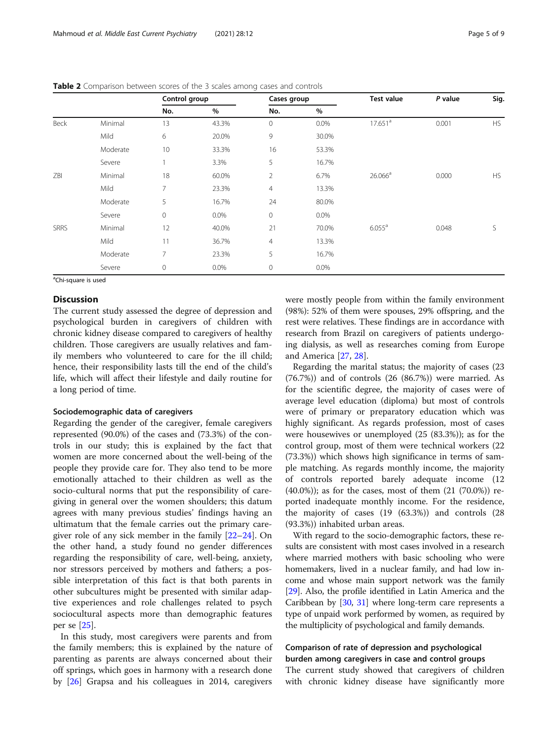|             |          | Control group  |       | Cases group         |       | <b>Test value</b>   | P value | Sig.      |
|-------------|----------|----------------|-------|---------------------|-------|---------------------|---------|-----------|
|             |          | No.            | $\%$  | No.                 | $\%$  |                     |         |           |
| Beck        | Minimal  | 13             | 43.3% | $\circ$             | 0.0%  | 17.651 <sup>a</sup> | 0.001   | HS        |
|             | Mild     | 6              | 20.0% | 9                   | 30.0% |                     |         |           |
|             | Moderate | 10             | 33.3% | 16                  | 53.3% |                     |         |           |
|             | Severe   | п              | 3.3%  | 5                   | 16.7% |                     |         |           |
| ZBI         | Minimal  | 18             | 60.0% | 2                   | 6.7%  | 26.066 <sup>a</sup> | 0.000   | <b>HS</b> |
|             | Mild     | $\overline{7}$ | 23.3% | $\overline{4}$      | 13.3% |                     |         |           |
|             | Moderate | 5              | 16.7% | 24                  | 80.0% |                     |         |           |
|             | Severe   | $\mathbf 0$    | 0.0%  | $\mathsf{O}\xspace$ | 0.0%  |                     |         |           |
| <b>SRRS</b> | Minimal  | 12             | 40.0% | 21                  | 70.0% | $6.055^{\circ}$     | 0.048   | S         |
|             | Mild     | 11             | 36.7% | 4                   | 13.3% |                     |         |           |
|             | Moderate | 7              | 23.3% | 5                   | 16.7% |                     |         |           |
|             | Severe   | $\mathbf 0$    | 0.0%  | $\mathsf{O}\xspace$ | 0.0%  |                     |         |           |

<span id="page-4-0"></span>Table 2 Comparison between scores of the 3 scales among cases and controls

<sup>a</sup>Chi-square is used

## Discussion

The current study assessed the degree of depression and psychological burden in caregivers of children with chronic kidney disease compared to caregivers of healthy children. Those caregivers are usually relatives and family members who volunteered to care for the ill child; hence, their responsibility lasts till the end of the child's life, which will affect their lifestyle and daily routine for a long period of time.

### Sociodemographic data of caregivers

Regarding the gender of the caregiver, female caregivers represented (90.0%) of the cases and (73.3%) of the controls in our study; this is explained by the fact that women are more concerned about the well-being of the people they provide care for. They also tend to be more emotionally attached to their children as well as the socio-cultural norms that put the responsibility of caregiving in general over the women shoulders; this datum agrees with many previous studies' findings having an ultimatum that the female carries out the primary caregiver role of any sick member in the family [\[22](#page-7-0)–[24\]](#page-7-0). On the other hand, a study found no gender differences regarding the responsibility of care, well-being, anxiety, nor stressors perceived by mothers and fathers; a possible interpretation of this fact is that both parents in other subcultures might be presented with similar adaptive experiences and role challenges related to psych sociocultural aspects more than demographic features per se [\[25](#page-7-0)].

In this study, most caregivers were parents and from the family members; this is explained by the nature of parenting as parents are always concerned about their off springs, which goes in harmony with a research done by [\[26](#page-7-0)] Grapsa and his colleagues in 2014, caregivers were mostly people from within the family environment (98%): 52% of them were spouses, 29% offspring, and the rest were relatives. These findings are in accordance with research from Brazil on caregivers of patients undergoing dialysis, as well as researches coming from Europe and America [\[27](#page-7-0), [28](#page-7-0)].

Regarding the marital status; the majority of cases (23 (76.7%)) and of controls (26 (86.7%)) were married. As for the scientific degree, the majority of cases were of average level education (diploma) but most of controls were of primary or preparatory education which was highly significant. As regards profession, most of cases were housewives or unemployed (25 (83.3%)); as for the control group, most of them were technical workers (22 (73.3%)) which shows high significance in terms of sample matching. As regards monthly income, the majority of controls reported barely adequate income (12 (40.0%)); as for the cases, most of them (21 (70.0%)) reported inadequate monthly income. For the residence, the majority of cases (19 (63.3%)) and controls (28 (93.3%)) inhabited urban areas.

With regard to the socio-demographic factors, these results are consistent with most cases involved in a research where married mothers with basic schooling who were homemakers, lived in a nuclear family, and had low income and whose main support network was the family [[29](#page-7-0)]. Also, the profile identified in Latin America and the Caribbean by [[30](#page-7-0), [31\]](#page-7-0) where long-term care represents a type of unpaid work performed by women, as required by the multiplicity of psychological and family demands.

## Comparison of rate of depression and psychological burden among caregivers in case and control groups

The current study showed that caregivers of children with chronic kidney disease have significantly more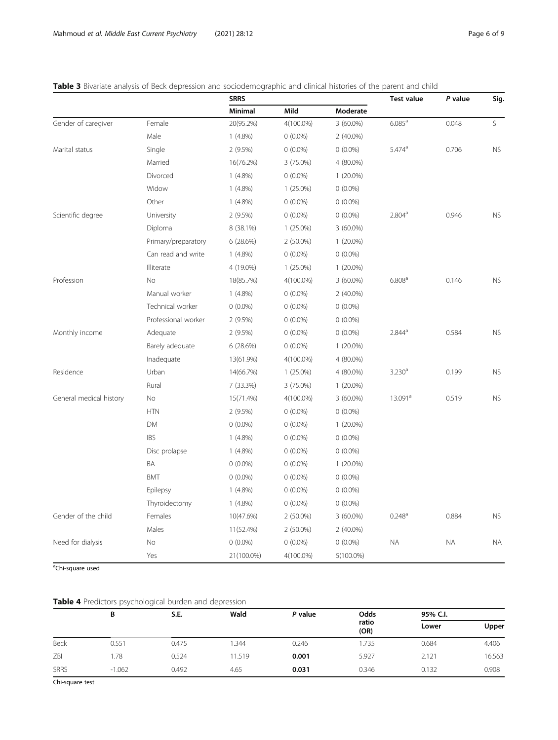<span id="page-5-0"></span>Table 3 Bivariate analysis of Beck depression and sociodemographic and clinical histories of the parent and child

|                         |                     | <b>SRRS</b> |             |              | <b>Test value</b>    | P value   | Sig.      |
|-------------------------|---------------------|-------------|-------------|--------------|----------------------|-----------|-----------|
|                         |                     | Minimal     | Mild        | Moderate     |                      |           |           |
| Gender of caregiver     | Female              | 20(95.2%)   | 4(100.0%)   | $3(60.0\%)$  | $6.085^{\text{a}}$   | 0.048     | S.        |
|                         | Male                | $1(4.8\%)$  | $0(0.0\%)$  | $2(40.0\%)$  |                      |           |           |
| Marital status          | Single              | 2(9.5%)     | $0(0.0\%)$  | $0(0.0\%)$   | $5.474$ <sup>a</sup> | 0.706     | <b>NS</b> |
|                         | Married             | 16(76.2%)   | 3 (75.0%)   | 4 (80.0%)    |                      |           |           |
|                         | Divorced            | $1(4.8\%)$  | $0(0.0\%)$  | $1(20.0\%)$  |                      |           |           |
|                         | Widow               | $1(4.8\%)$  | $1(25.0\%)$ | $0(0.0\%)$   |                      |           |           |
|                         | Other               | $1(4.8\%)$  | $0(0.0\%)$  | $0(0.0\%)$   |                      |           |           |
| Scientific degree       | University          | 2 (9.5%)    | $0(0.0\%)$  | $0(0.0\%)$   | 2.804 <sup>a</sup>   | 0.946     | <b>NS</b> |
|                         | Diploma             | 8 (38.1%)   | $1(25.0\%)$ | $3(60.0\%)$  |                      |           |           |
|                         | Primary/preparatory | 6(28.6%)    | $2(50.0\%)$ | $1(20.0\%)$  |                      |           |           |
|                         | Can read and write  | $1(4.8\%)$  | $0(0.0\%)$  | $0(0.0\%)$   |                      |           |           |
|                         | Illiterate          | 4 (19.0%)   | $1(25.0\%)$ | $1(20.0\%)$  |                      |           |           |
| Profession              | <b>No</b>           | 18(85.7%)   | 4(100.0%)   | $3(60.0\%)$  | 6.808 <sup>a</sup>   | 0.146     | <b>NS</b> |
|                         | Manual worker       | $1(4.8\%)$  | $0(0.0\%)$  | $2(40.0\%)$  |                      |           |           |
|                         | Technical worker    | $0(0.0\%)$  | $0(0.0\%)$  | $0(0.0\%)$   |                      |           |           |
|                         | Professional worker | 2 (9.5%)    | $0(0.0\%)$  | $0(0.0\%)$   |                      |           |           |
| Monthly income          | Adequate            | 2 (9.5%)    | $0(0.0\%)$  | $0(0.0\%)$   | $2.844^{\circ}$      | 0.584     | <b>NS</b> |
|                         | Barely adequate     | 6(28.6%)    | $0(0.0\%)$  | $1(20.0\%)$  |                      |           |           |
|                         | Inadequate          | 13(61.9%)   | 4(100.0%)   | 4 (80.0%)    |                      |           |           |
| Residence               | Urban               | 14(66.7%)   | $1(25.0\%)$ | 4 (80.0%)    | 3.230 <sup>a</sup>   | 0.199     | <b>NS</b> |
|                         | Rural               | 7 (33.3%)   | 3 (75.0%)   | $1(20.0\%)$  |                      |           |           |
| General medical history | No                  | 15(71.4%)   | 4(100.0%)   | $3(60.0\%)$  | 13.091 <sup>a</sup>  | 0.519     | <b>NS</b> |
|                         | <b>HTN</b>          | 2 (9.5%)    | $0(0.0\%)$  | $0(0.0\%)$   |                      |           |           |
|                         | DM                  | $0(0.0\%)$  | $0(0.0\%)$  | $1(20.0\%)$  |                      |           |           |
|                         | <b>IBS</b>          | $1(4.8\%)$  | $0(0.0\%)$  | $0(0.0\%)$   |                      |           |           |
|                         | Disc prolapse       | $1(4.8\%)$  | $0(0.0\%)$  | $0(0.0\%)$   |                      |           |           |
|                         | BA                  | $0(0.0\%)$  | $0(0.0\%)$  | $1(20.0\%)$  |                      |           |           |
|                         | <b>BMT</b>          | $0(0.0\%)$  | $0(0.0\%)$  | $0(0.0\%)$   |                      |           |           |
|                         | Epilepsy            | $1(4.8\%)$  | $0(0.0\%)$  | $0(0.0\%)$   |                      |           |           |
|                         | Thyroidectomy       | $1(4.8\%)$  | $0(0.0\%)$  | $0(0.0\%)$   |                      |           |           |
| Gender of the child     | Females             | 10(47.6%)   | $2(50.0\%)$ | $3(60.0\%)$  | $0.248$ <sup>a</sup> | 0.884     | <b>NS</b> |
|                         | Males               | 11(52.4%)   | $2(50.0\%)$ | $2(40.0\%)$  |                      |           |           |
| Need for dialysis       | No                  | $0(0.0\%)$  | $0(0.0\%)$  | $0(0.0\%)$   | <b>NA</b>            | <b>NA</b> | <b>NA</b> |
|                         | Yes                 | 21(100.0%)  | 4(100.0%)   | $5(100.0\%)$ |                      |           |           |

<sup>a</sup>Chi-square used

## Table 4 Predictors psychological burden and depression

|             | B        | S.E.  | Wald   | P value | Odds<br>ratio<br>(OR) | 95% C.I. |        |
|-------------|----------|-------|--------|---------|-----------------------|----------|--------|
|             |          |       |        |         |                       | Lower    | Upper  |
| Beck        | 0.551    | 0.475 | .344   | 0.246   | 1.735                 | 0.684    | 4.406  |
| ZBI         | 1.78     | 0.524 | 11.519 | 0.001   | 5.927                 | 2.121    | 16.563 |
| <b>SRRS</b> | $-1.062$ | 0.492 | 4.65   | 0.031   | 0.346                 | 0.132    | 0.908  |

Chi-square test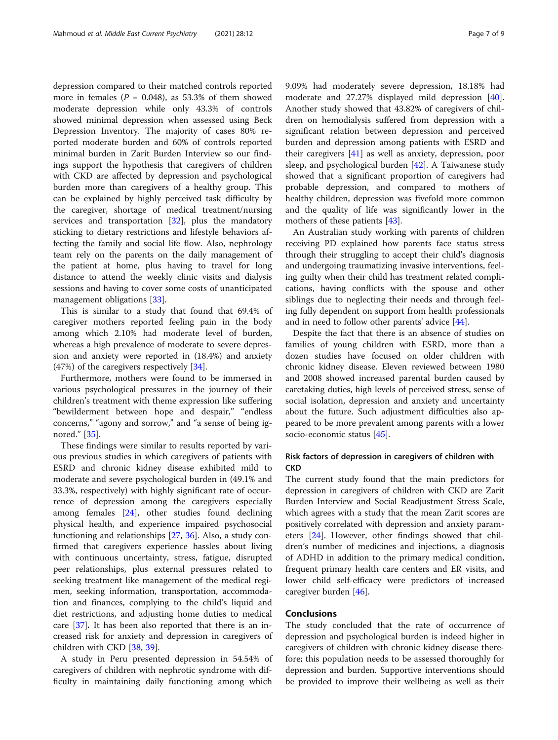depression compared to their matched controls reported more in females ( $P = 0.048$ ), as 53.3% of them showed moderate depression while only 43.3% of controls showed minimal depression when assessed using Beck Depression Inventory. The majority of cases 80% reported moderate burden and 60% of controls reported minimal burden in Zarit Burden Interview so our findings support the hypothesis that caregivers of children with CKD are affected by depression and psychological burden more than caregivers of a healthy group. This can be explained by highly perceived task difficulty by the caregiver, shortage of medical treatment/nursing services and transportation  $[32]$ , plus the mandatory sticking to dietary restrictions and lifestyle behaviors affecting the family and social life flow. Also, nephrology team rely on the parents on the daily management of the patient at home, plus having to travel for long distance to attend the weekly clinic visits and dialysis sessions and having to cover some costs of unanticipated management obligations [[33\]](#page-8-0).

This is similar to a study that found that 69.4% of caregiver mothers reported feeling pain in the body among which 2.10% had moderate level of burden, whereas a high prevalence of moderate to severe depression and anxiety were reported in (18.4%) and anxiety (47%) of the caregivers respectively [\[34](#page-8-0)].

Furthermore, mothers were found to be immersed in various psychological pressures in the journey of their children's treatment with theme expression like suffering "bewilderment between hope and despair," "endless concerns," "agony and sorrow," and "a sense of being ignored." [\[35](#page-8-0)].

These findings were similar to results reported by various previous studies in which caregivers of patients with ESRD and chronic kidney disease exhibited mild to moderate and severe psychological burden in (49.1% and 33.3%, respectively) with highly significant rate of occurrence of depression among the caregivers especially among females [[24](#page-7-0)], other studies found declining physical health, and experience impaired psychosocial functioning and relationships [[27,](#page-7-0) [36\]](#page-8-0). Also, a study confirmed that caregivers experience hassles about living with continuous uncertainty, stress, fatigue, disrupted peer relationships, plus external pressures related to seeking treatment like management of the medical regimen, seeking information, transportation, accommodation and finances, complying to the child's liquid and diet restrictions, and adjusting home duties to medical care [[37\]](#page-8-0). It has been also reported that there is an increased risk for anxiety and depression in caregivers of children with CKD [\[38](#page-8-0), [39](#page-8-0)].

A study in Peru presented depression in 54.54% of caregivers of children with nephrotic syndrome with difficulty in maintaining daily functioning among which 9.09% had moderately severe depression, 18.18% had moderate and 27.27% displayed mild depression [\[40](#page-8-0)]. Another study showed that 43.82% of caregivers of children on hemodialysis suffered from depression with a significant relation between depression and perceived burden and depression among patients with ESRD and their caregivers [[41\]](#page-8-0) as well as anxiety, depression, poor sleep, and psychological burden  $[42]$ . A Taiwanese study showed that a significant proportion of caregivers had probable depression, and compared to mothers of healthy children, depression was fivefold more common and the quality of life was significantly lower in the mothers of these patients [\[43](#page-8-0)].

An Australian study working with parents of children receiving PD explained how parents face status stress through their struggling to accept their child's diagnosis and undergoing traumatizing invasive interventions, feeling guilty when their child has treatment related complications, having conflicts with the spouse and other siblings due to neglecting their needs and through feeling fully dependent on support from health professionals and in need to follow other parents' advice [\[44\]](#page-8-0).

Despite the fact that there is an absence of studies on families of young children with ESRD, more than a dozen studies have focused on older children with chronic kidney disease. Eleven reviewed between 1980 and 2008 showed increased parental burden caused by caretaking duties, high levels of perceived stress, sense of social isolation, depression and anxiety and uncertainty about the future. Such adjustment difficulties also appeared to be more prevalent among parents with a lower socio-economic status [\[45](#page-8-0)].

## Risk factors of depression in caregivers of children with **CKD**

The current study found that the main predictors for depression in caregivers of children with CKD are Zarit Burden Interview and Social Readjustment Stress Scale, which agrees with a study that the mean Zarit scores are positively correlated with depression and anxiety parameters [[24\]](#page-7-0). However, other findings showed that children's number of medicines and injections, a diagnosis of ADHD in addition to the primary medical condition, frequent primary health care centers and ER visits, and lower child self-efficacy were predictors of increased caregiver burden [[46](#page-8-0)].

## **Conclusions**

The study concluded that the rate of occurrence of depression and psychological burden is indeed higher in caregivers of children with chronic kidney disease therefore; this population needs to be assessed thoroughly for depression and burden. Supportive interventions should be provided to improve their wellbeing as well as their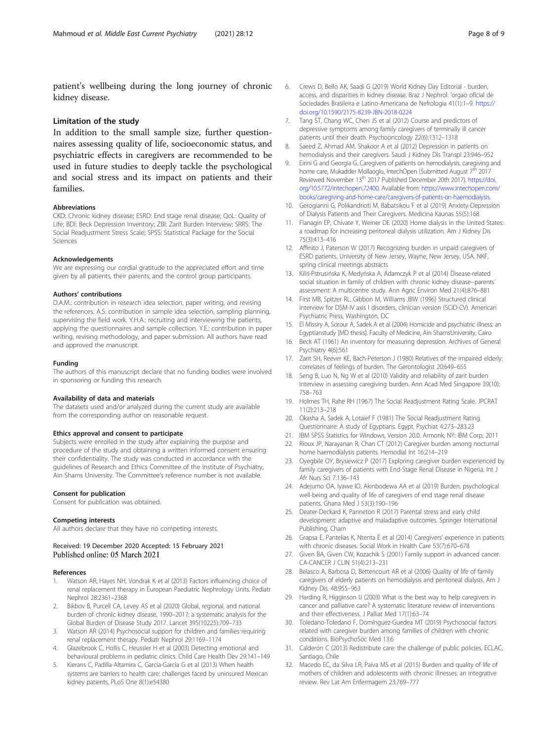<span id="page-7-0"></span>patient's wellbeing during the long journey of chronic kidney disease.

## Limitation of the study

In addition to the small sample size, further questionnaires assessing quality of life, socioeconomic status, and psychiatric effects in caregivers are recommended to be used in future studies to deeply tackle the psychological and social stress and its impact on patients and their families.

#### Abbreviations

CKD: Chronic kidney disease; ESRD: End stage renal disease; QoL: Quality of Life; BDI: Beck Depression Inventory; ZBI: Zarit Burden Interview; SRRS: The Social Readjustment Stress Scale; SPSS: Statistical Package for the Social Sciences

### Acknowledgements

We are expressing our cordial gratitude to the appreciated effort and time given by all patients, their parents, and the control group participants.

#### Authors' contributions

D.A.M.: contribution in research idea selection, paper writing, and revising the references. A.S: contribution in sample idea selection, sampling planning, supervising the field work. Y.H.A.: recruiting and interviewing the patients, applying the questionnaires and sample collection. Y.E.: contribution in paper writing, revising methodology, and paper submission. All authors have read and approved the manuscript.

#### Funding

The authors of this manuscript declare that no funding bodies were involved in sponsoring or funding this research.

#### Availability of data and materials

The datasets used and/or analyzed during the current study are available from the corresponding author on reasonable request.

#### Ethics approval and consent to participate

Subjects were enrolled in the study after explaining the purpose and procedure of the study and obtaining a written informed consent ensuring their confidentiality. The study was conducted in accordance with the guidelines of Research and Ethics Committee of the Institute of Psychiatry, Ain Shams University. The Committee's reference number is not available.

#### Consent for publication

Consent for publication was obtained.

#### Competing interests

All authors declare that they have no competing interests.

## Received: 19 December 2020 Accepted: 15 February 2021 Published online: 05 March 2021

#### References

- Watson AR, Hayes NH, Vondrak K et al (2013) Factors influencing choice of renal replacement therapy in European Paediatric Nephrology Units. Pediatr Nephrol 28:2361–2368
- Bikbov B, Purcell CA, Levey AS et al (2020) Global, regional, and national burden of chronic kidney disease, 1990–2017: a systematic analysis for the Global Burden of Disease Study 2017. Lancet 395(10225):709–733
- 3. Watson AR (2014) Psychosocial support for children and families requiring renal replacement therapy. Pediatr Nephrol 29:1169–1174
- 4. Glazebrook C, Hollis C, Heussler H et al (2003) Detecting emotional and behavioural problems in pediatric clinics. Child Care Health Dev 29:141–149
- Kierans C, Padilla-Altamira C, Garcia-Garcia G et al (2013) When health systems are barriers to health care: challenges faced by uninsured Mexican kidney patients. PLoS One 8(1):e54380
- 6. Crews D, Bello AK, Saadi G (2019) World Kidney Day Editorial burden, access, and disparities in kidney disease. Braz J Nephrol: 'orgao oficial de Sociedades Brasileira e Latino-Americana de Nefrologia 41(1):1–9. [https://](https://doi.org/10.1590/2175-8239-JBN-2018-0224) [doi.org/10.1590/2175-8239-JBN-2018-0224](https://doi.org/10.1590/2175-8239-JBN-2018-0224)
- 7. Tang ST, Chang WC, Chen JS et al (2012) Course and predictors of depressive symptoms among family caregivers of terminally ill cancer patients until their death. Psychooncology 22(6):1312–1318
- 8. Saeed Z, Ahmad AM, Shakoor A et al (2012) Depression in patients on hemodialysis and their caregivers. Saudi J Kidney Dis Transpl 23:946–952
- 9. Eirini G and Georgia G. Caregivers of patients on hemodialysis, caregiving and home care, Mukadder Mollaoglu, IntechOpen (Submitted August 7<sup>th</sup> 2017 Reviewed November 13<sup>th</sup> 2017 Published December 20th 2017). [https://doi.](https://doi.org/10.5772/intechopen.72400) [org/10.5772/intechopen.72400](https://doi.org/10.5772/intechopen.72400). Available from: [https://www.intechopen.com/](https://www.intechopen.com/books/caregiving-and-home-care/caregivers-of-patients-on-haemodialysis) [books/caregiving-and-home-care/caregivers-of-patients-on-haemodialysis.](https://www.intechopen.com/books/caregiving-and-home-care/caregivers-of-patients-on-haemodialysis)
- 10. Gerogianni G, Polikandrioti M, Babatsikou F et al (2019) Anxiety-Depression of Dialysis Patients and Their Caregivers. Medicina Kaunas 55(5):168
- 11. Flanagin EP, Chivate Y, Weiner DE (2020) Home dialysis in the United States: a roadmap for increasing peritoneal dialysis utilization. Am J Kidney Dis 75(3):413–416
- 12. Affinito J, Paterson W (2017) Recognizing burden in unpaid caregivers of ESRD patients. University of New Jersey, Wayne, New Jersey, USA. NKF, spring clinical meetings abstracts
- 13. Kiliś-Pstrusińska K, Medyńska A, Adamczyk P et al (2014) Disease-related social situation in family of children with chronic kidney disease--parents` assessment: A multicentre study. Ann Agric Environ Med 21(4):876–881
- 14. First MB, Spitzer RL, Gibbon M, Williams JBW (1996) Structured clinical interview for DSM-IV axis I disorders, clinician version (SCID-CV). American Psychiatric Press, Washington, DC
- 15. El Missiry A, Sorour A, Sadek A et al (2004) Homicide and psychiatric illness: an Egyptianstudy [MD thesis]. Faculty of Medicine, Ain ShamsUniversity, Cairo
- 16. Beck AT (1961) An inventory for measuring depression. Archives of General Psychiatry 4(6):561
- 17. Zarit SH, Reever KE, Bach-Peterson J (1980) Relatives of the impaired elderly: correlates of feelings of burden. The Gerontologist 20:649–655
- 18. Seng B, Luo N, Ng W et al (2010) Validity and reliability of zarit burden Interview in assessing caregiving burden. Ann Acad Med Singapore 39(10): 758–763
- 19. Holmes TH, Rahe RH (1967) The Social Readjustment Rating Scale. JPCRAT 11(2):213–218
- 20. Okasha A, Sadek A, Lotaief F (1981) The Social Readjustment Rating Questionnaire: A study of Egyptians. Egypt. Psychiat 4:273–283.23
- 21. IBM SPSS Statistics for Windows, Version 20.0. Armonk, NY: IBM Corp; 2011
- 22. Rioux JP, Narayanan R, Chan CT (2012) Caregiver burden among nocturnal home haemodialysis patients. Hemodial Int 16:214–219
- 23. Oyegbile OY, Brysiewicz P (2017) Exploring caregiver burden experienced by family caregivers of patients with End-Stage Renal Disease in Nigeria. Int J Afr Nurs Sci 7:136–143
- 24. Adejumo OA, Iyawe IO, Akinbodewa AA et al (2019) Burden, psychological well-being and quality of life of caregivers of end stage renal disease patients. Ghana Med J 53(3):190–196
- 25. Deater-Deckard K, Panneton R (2017) Parental stress and early child development: adaptive and maladaptive outcomes. Springer International Publishing, Cham
- 26. Grapsa E, Pantelias K, Ntenta E et al (2014) Caregivers' experience in patients with chronic diseases. Social Work in Health Care 53(7):670–678
- 27. Given BA, Given CW, Kozachik S (2001) Family support in advanced cancer. CA-CANCER J CLIN 51(4):213–231
- 28. Belasco A, Barbosa D, Bettencourt AR et al (2006) Quality of life of family caregivers of elderly patients on hemodialysis and peritoneal dialysis. Am J Kidney Dis. 48:955–963
- 29. Harding R, Higginson IJ (2003) What is the best way to help caregivers in cancer and palliative care? A systematic literature review of interventions and their effectiveness. J Palliat Med 17(1):63–74
- 30. Toledano-Toledano F, Domínguez-Guedea MT (2019) Psychosocial factors related with caregiver burden among families of children with chronic conditions. BioPsychoSoc Med 13:6
- 31. Calderón C (2013) Redistribute care: the challenge of public policies. ECLAC, Santiago, Chile
- 32. Macedo EC, da Silva LR, Paiva MS et al (2015) Burden and quality of life of mothers of children and adolescents with chronic illnesses: an integrative review. Rev Lat Am Enfermagem 23:769–777